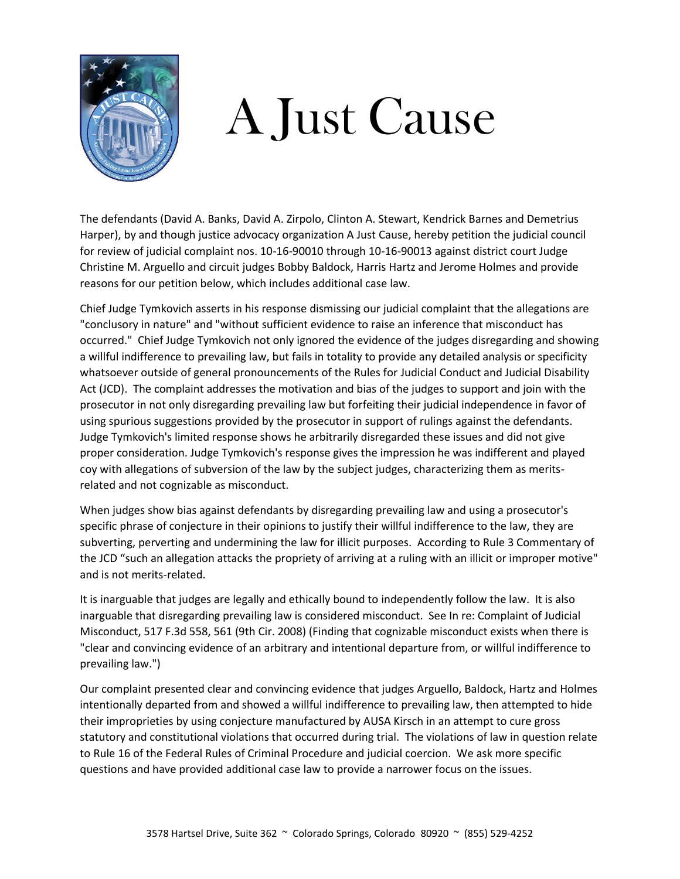

## A Just Cause

The defendants (David A. Banks, David A. Zirpolo, Clinton A. Stewart, Kendrick Barnes and Demetrius Harper), by and though justice advocacy organization A Just Cause, hereby petition the judicial council for review of judicial complaint nos. 10-16-90010 through 10-16-90013 against district court Judge Christine M. Arguello and circuit judges Bobby Baldock, Harris Hartz and Jerome Holmes and provide reasons for our petition below, which includes additional case law.

Chief Judge Tymkovich asserts in his response dismissing our judicial complaint that the allegations are "conclusory in nature" and "without sufficient evidence to raise an inference that misconduct has occurred." Chief Judge Tymkovich not only ignored the evidence of the judges disregarding and showing a willful indifference to prevailing law, but fails in totality to provide any detailed analysis or specificity whatsoever outside of general pronouncements of the Rules for Judicial Conduct and Judicial Disability Act (JCD). The complaint addresses the motivation and bias of the judges to support and join with the prosecutor in not only disregarding prevailing law but forfeiting their judicial independence in favor of using spurious suggestions provided by the prosecutor in support of rulings against the defendants. Judge Tymkovich's limited response shows he arbitrarily disregarded these issues and did not give proper consideration. Judge Tymkovich's response gives the impression he was indifferent and played coy with allegations of subversion of the law by the subject judges, characterizing them as meritsrelated and not cognizable as misconduct.

When judges show bias against defendants by disregarding prevailing law and using a prosecutor's specific phrase of conjecture in their opinions to justify their willful indifference to the law, they are subverting, perverting and undermining the law for illicit purposes. According to Rule 3 Commentary of the JCD "such an allegation attacks the propriety of arriving at a ruling with an illicit or improper motive" and is not merits-related.

It is inarguable that judges are legally and ethically bound to independently follow the law. It is also inarguable that disregarding prevailing law is considered misconduct. See In re: Complaint of Judicial Misconduct, 517 F.3d 558, 561 (9th Cir. 2008) (Finding that cognizable misconduct exists when there is "clear and convincing evidence of an arbitrary and intentional departure from, or willful indifference to prevailing law.")

Our complaint presented clear and convincing evidence that judges Arguello, Baldock, Hartz and Holmes intentionally departed from and showed a willful indifference to prevailing law, then attempted to hide their improprieties by using conjecture manufactured by AUSA Kirsch in an attempt to cure gross statutory and constitutional violations that occurred during trial. The violations of law in question relate to Rule 16 of the Federal Rules of Criminal Procedure and judicial coercion. We ask more specific questions and have provided additional case law to provide a narrower focus on the issues.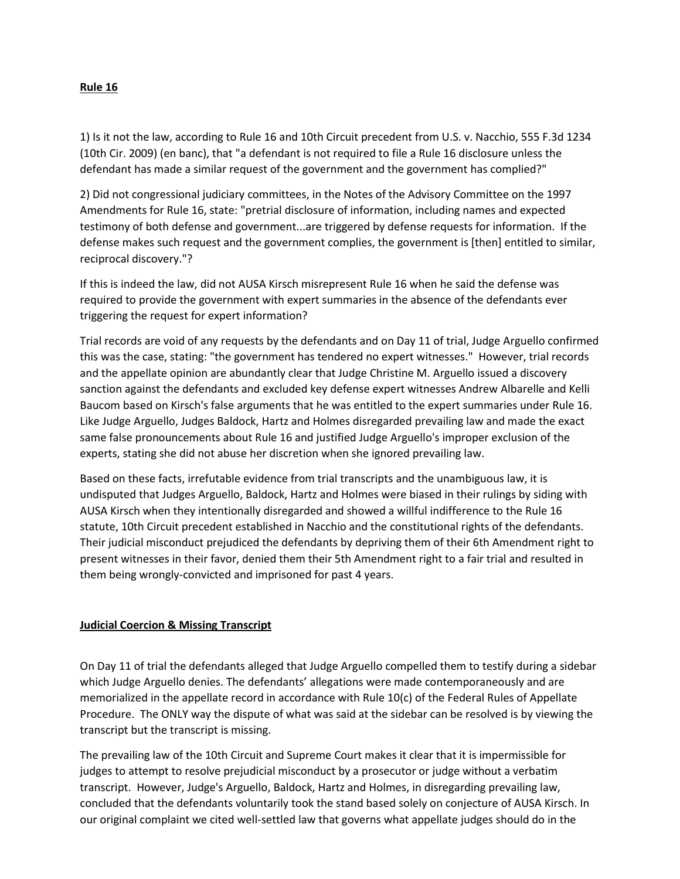## **Rule 16**

1) Is it not the law, according to Rule 16 and 10th Circuit precedent from U.S. v. Nacchio, 555 F.3d 1234 (10th Cir. 2009) (en banc), that "a defendant is not required to file a Rule 16 disclosure unless the defendant has made a similar request of the government and the government has complied?"

2) Did not congressional judiciary committees, in the Notes of the Advisory Committee on the 1997 Amendments for Rule 16, state: "pretrial disclosure of information, including names and expected testimony of both defense and government...are triggered by defense requests for information. If the defense makes such request and the government complies, the government is [then] entitled to similar, reciprocal discovery."?

If this is indeed the law, did not AUSA Kirsch misrepresent Rule 16 when he said the defense was required to provide the government with expert summaries in the absence of the defendants ever triggering the request for expert information?

Trial records are void of any requests by the defendants and on Day 11 of trial, Judge Arguello confirmed this was the case, stating: "the government has tendered no expert witnesses." However, trial records and the appellate opinion are abundantly clear that Judge Christine M. Arguello issued a discovery sanction against the defendants and excluded key defense expert witnesses Andrew Albarelle and Kelli Baucom based on Kirsch's false arguments that he was entitled to the expert summaries under Rule 16. Like Judge Arguello, Judges Baldock, Hartz and Holmes disregarded prevailing law and made the exact same false pronouncements about Rule 16 and justified Judge Arguello's improper exclusion of the experts, stating she did not abuse her discretion when she ignored prevailing law.

Based on these facts, irrefutable evidence from trial transcripts and the unambiguous law, it is undisputed that Judges Arguello, Baldock, Hartz and Holmes were biased in their rulings by siding with AUSA Kirsch when they intentionally disregarded and showed a willful indifference to the Rule 16 statute, 10th Circuit precedent established in Nacchio and the constitutional rights of the defendants. Their judicial misconduct prejudiced the defendants by depriving them of their 6th Amendment right to present witnesses in their favor, denied them their 5th Amendment right to a fair trial and resulted in them being wrongly-convicted and imprisoned for past 4 years.

## **Judicial Coercion & Missing Transcript**

On Day 11 of trial the defendants alleged that Judge Arguello compelled them to testify during a sidebar which Judge Arguello denies. The defendants' allegations were made contemporaneously and are memorialized in the appellate record in accordance with Rule 10(c) of the Federal Rules of Appellate Procedure. The ONLY way the dispute of what was said at the sidebar can be resolved is by viewing the transcript but the transcript is missing.

The prevailing law of the 10th Circuit and Supreme Court makes it clear that it is impermissible for judges to attempt to resolve prejudicial misconduct by a prosecutor or judge without a verbatim transcript. However, Judge's Arguello, Baldock, Hartz and Holmes, in disregarding prevailing law, concluded that the defendants voluntarily took the stand based solely on conjecture of AUSA Kirsch. In our original complaint we cited well-settled law that governs what appellate judges should do in the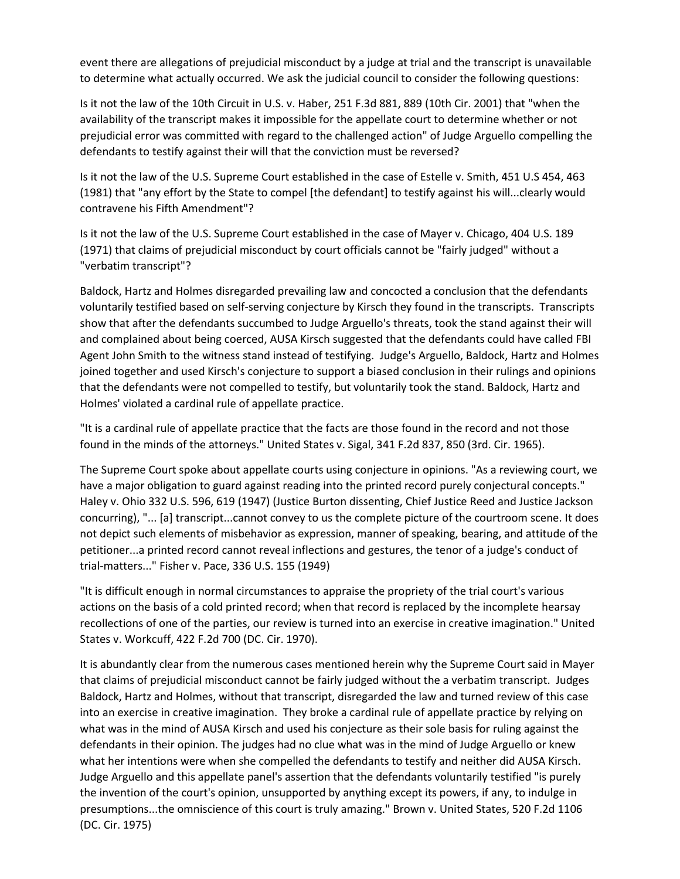event there are allegations of prejudicial misconduct by a judge at trial and the transcript is unavailable to determine what actually occurred. We ask the judicial council to consider the following questions:

Is it not the law of the 10th Circuit in U.S. v. Haber, 251 F.3d 881, 889 (10th Cir. 2001) that "when the availability of the transcript makes it impossible for the appellate court to determine whether or not prejudicial error was committed with regard to the challenged action" of Judge Arguello compelling the defendants to testify against their will that the conviction must be reversed?

Is it not the law of the U.S. Supreme Court established in the case of Estelle v. Smith, 451 U.S 454, 463 (1981) that "any effort by the State to compel [the defendant] to testify against his will...clearly would contravene his Fifth Amendment"?

Is it not the law of the U.S. Supreme Court established in the case of Mayer v. Chicago, 404 U.S. 189 (1971) that claims of prejudicial misconduct by court officials cannot be "fairly judged" without a "verbatim transcript"?

Baldock, Hartz and Holmes disregarded prevailing law and concocted a conclusion that the defendants voluntarily testified based on self-serving conjecture by Kirsch they found in the transcripts. Transcripts show that after the defendants succumbed to Judge Arguello's threats, took the stand against their will and complained about being coerced, AUSA Kirsch suggested that the defendants could have called FBI Agent John Smith to the witness stand instead of testifying. Judge's Arguello, Baldock, Hartz and Holmes joined together and used Kirsch's conjecture to support a biased conclusion in their rulings and opinions that the defendants were not compelled to testify, but voluntarily took the stand. Baldock, Hartz and Holmes' violated a cardinal rule of appellate practice.

"It is a cardinal rule of appellate practice that the facts are those found in the record and not those found in the minds of the attorneys." United States v. Sigal, 341 F.2d 837, 850 (3rd. Cir. 1965).

The Supreme Court spoke about appellate courts using conjecture in opinions. "As a reviewing court, we have a major obligation to guard against reading into the printed record purely conjectural concepts." Haley v. Ohio 332 U.S. 596, 619 (1947) (Justice Burton dissenting, Chief Justice Reed and Justice Jackson concurring), "... [a] transcript...cannot convey to us the complete picture of the courtroom scene. It does not depict such elements of misbehavior as expression, manner of speaking, bearing, and attitude of the petitioner...a printed record cannot reveal inflections and gestures, the tenor of a judge's conduct of trial-matters..." Fisher v. Pace, 336 U.S. 155 (1949)

"It is difficult enough in normal circumstances to appraise the propriety of the trial court's various actions on the basis of a cold printed record; when that record is replaced by the incomplete hearsay recollections of one of the parties, our review is turned into an exercise in creative imagination." United States v. Workcuff, 422 F.2d 700 (DC. Cir. 1970).

It is abundantly clear from the numerous cases mentioned herein why the Supreme Court said in Mayer that claims of prejudicial misconduct cannot be fairly judged without the a verbatim transcript. Judges Baldock, Hartz and Holmes, without that transcript, disregarded the law and turned review of this case into an exercise in creative imagination. They broke a cardinal rule of appellate practice by relying on what was in the mind of AUSA Kirsch and used his conjecture as their sole basis for ruling against the defendants in their opinion. The judges had no clue what was in the mind of Judge Arguello or knew what her intentions were when she compelled the defendants to testify and neither did AUSA Kirsch. Judge Arguello and this appellate panel's assertion that the defendants voluntarily testified "is purely the invention of the court's opinion, unsupported by anything except its powers, if any, to indulge in presumptions...the omniscience of this court is truly amazing." Brown v. United States, 520 F.2d 1106 (DC. Cir. 1975)